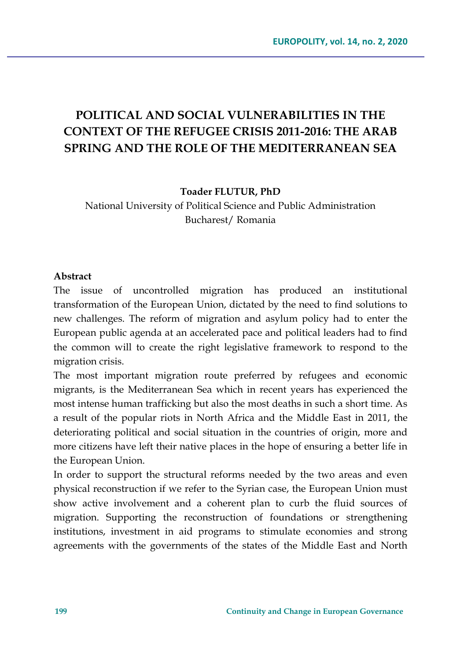# **POLITICAL AND SOCIAL VULNERABILITIES IN THE CONTEXT OF THE REFUGEE CRISIS 2011-2016: THE ARAB SPRING AND THE ROLE OF THE MEDITERRANEAN SEA**

**Toader FLUTUR, PhD**

National University of Political Science and Public Administration Bucharest/ Romania

#### **Abstract**

The issue of uncontrolled migration has produced an institutional transformation of the European Union, dictated by the need to find solutions to new challenges. The reform of migration and asylum policy had to enter the European public agenda at an accelerated pace and political leaders had to find the common will to create the right legislative framework to respond to the migration crisis.

The most important migration route preferred by refugees and economic migrants, is the Mediterranean Sea which in recent years has experienced the most intense human trafficking but also the most deaths in such a short time. As a result of the popular riots in North Africa and the Middle East in 2011, the deteriorating political and social situation in the countries of origin, more and more citizens have left their native places in the hope of ensuring a better life in the European Union.

In order to support the structural reforms needed by the two areas and even physical reconstruction if we refer to the Syrian case, the European Union must show active involvement and a coherent plan to curb the fluid sources of migration. Supporting the reconstruction of foundations or strengthening institutions, investment in aid programs to stimulate economies and strong agreements with the governments of the states of the Middle East and North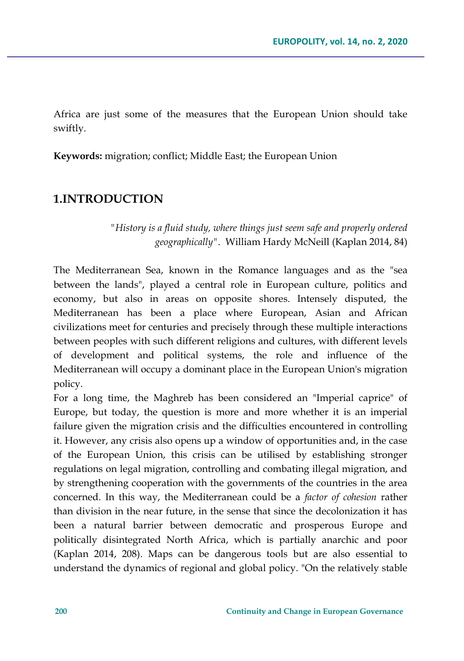Africa are just some of the measures that the European Union should take swiftly.

**Keywords:** migration; conflict; Middle East; the European Union

### **1.INTRODUCTION**

*"History is a fluid study, where things just seem safe and properly ordered geographically"*. William Hardy McNeill (Kaplan 2014, 84)

The Mediterranean Sea, known in the Romance languages and as the "sea between the lands", played a central role in European culture, politics and economy, but also in areas on opposite shores. Intensely disputed, the Mediterranean has been a place where European, Asian and African civilizations meet for centuries and precisely through these multiple interactions between peoples with such different religions and cultures, with different levels of development and political systems, the role and influence of the Mediterranean will occupy a dominant place in the European Union's migration policy.

For a long time, the Maghreb has been considered an "Imperial caprice" of Europe, but today, the question is more and more whether it is an imperial failure given the migration crisis and the difficulties encountered in controlling it. However, any crisis also opens up a window of opportunities and, in the case of the European Union, this crisis can be utilised by establishing stronger regulations on legal migration, controlling and combating illegal migration, and by strengthening cooperation with the governments of the countries in the area concerned. In this way, the Mediterranean could be a *factor of cohesion* rather than division in the near future, in the sense that since the decolonization it has been a natural barrier between democratic and prosperous Europe and politically disintegrated North Africa, which is partially anarchic and poor (Kaplan 2014, 208). Maps can be dangerous tools but are also essential to understand the dynamics of regional and global policy. "On the relatively stable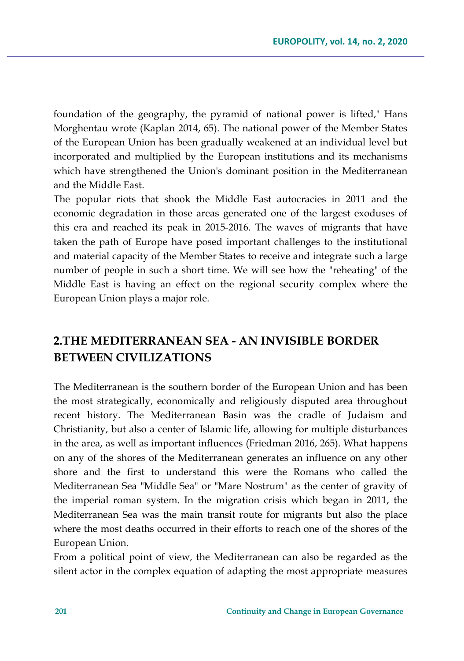foundation of the geography, the pyramid of national power is lifted," Hans Morghentau wrote (Kaplan 2014, 65). The national power of the Member States of the European Union has been gradually weakened at an individual level but incorporated and multiplied by the European institutions and its mechanisms which have strengthened the Union's dominant position in the Mediterranean and the Middle East.

The popular riots that shook the Middle East autocracies in 2011 and the economic degradation in those areas generated one of the largest exoduses of this era and reached its peak in 2015-2016. The waves of migrants that have taken the path of Europe have posed important challenges to the institutional and material capacity of the Member States to receive and integrate such a large number of people in such a short time. We will see how the "reheating" of the Middle East is having an effect on the regional security complex where the European Union plays a major role.

## **2.THE MEDITERRANEAN SEA - AN INVISIBLE BORDER BETWEEN CIVILIZATIONS**

The Mediterranean is the southern border of the European Union and has been the most strategically, economically and religiously disputed area throughout recent history. The Mediterranean Basin was the cradle of Judaism and Christianity, but also a center of Islamic life, allowing for multiple disturbances in the area, as well as important influences (Friedman 2016, 265). What happens on any of the shores of the Mediterranean generates an influence on any other shore and the first to understand this were the Romans who called the Mediterranean Sea "Middle Sea" or "Mare Nostrum" as the center of gravity of the imperial roman system. In the migration crisis which began in 2011, the Mediterranean Sea was the main transit route for migrants but also the place where the most deaths occurred in their efforts to reach one of the shores of the European Union.

From a political point of view, the Mediterranean can also be regarded as the silent actor in the complex equation of adapting the most appropriate measures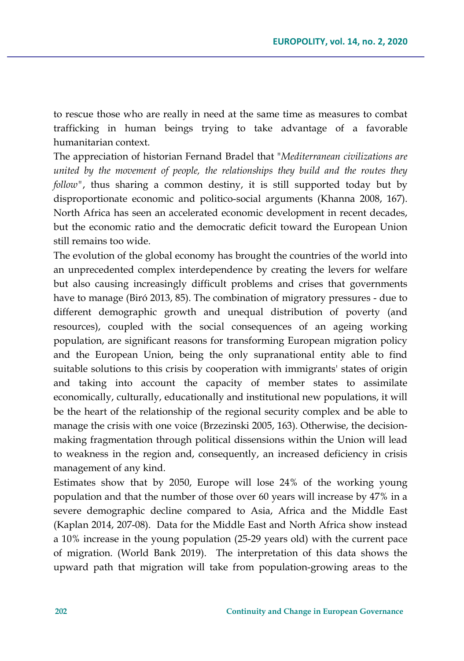to rescue those who are really in need at the same time as measures to combat trafficking in human beings trying to take advantage of a favorable humanitarian context.

The appreciation of historian Fernand Bradel that "*Mediterranean civilizations are united by the movement of people, the relationships they build and the routes they follow"*, thus sharing a common destiny, it is still supported today but by disproportionate economic and politico-social arguments (Khanna 2008, 167). North Africa has seen an accelerated economic development in recent decades, but the economic ratio and the democratic deficit toward the European Union still remains too wide.

The evolution of the global economy has brought the countries of the world into an unprecedented complex interdependence by creating the levers for welfare but also causing increasingly difficult problems and crises that governments have to manage (Biró 2013, 85). The combination of migratory pressures - due to different demographic growth and unequal distribution of poverty (and resources), coupled with the social consequences of an ageing working population, are significant reasons for transforming European migration policy and the European Union, being the only supranational entity able to find suitable solutions to this crisis by cooperation with immigrants' states of origin and taking into account the capacity of member states to assimilate economically, culturally, educationally and institutional new populations, it will be the heart of the relationship of the regional security complex and be able to manage the crisis with one voice (Brzezinski 2005, 163). Otherwise, the decisionmaking fragmentation through political dissensions within the Union will lead to weakness in the region and, consequently, an increased deficiency in crisis management of any kind.

Estimates show that by 2050, Europe will lose 24% of the working young population and that the number of those over 60 years will increase by 47% in a severe demographic decline compared to Asia, Africa and the Middle East (Kaplan 2014, 207-08). Data for the Middle East and North Africa show instead a 10% increase in the young population (25-29 years old) with the current pace of migration. (World Bank 2019). The interpretation of this data shows the upward path that migration will take from population-growing areas to the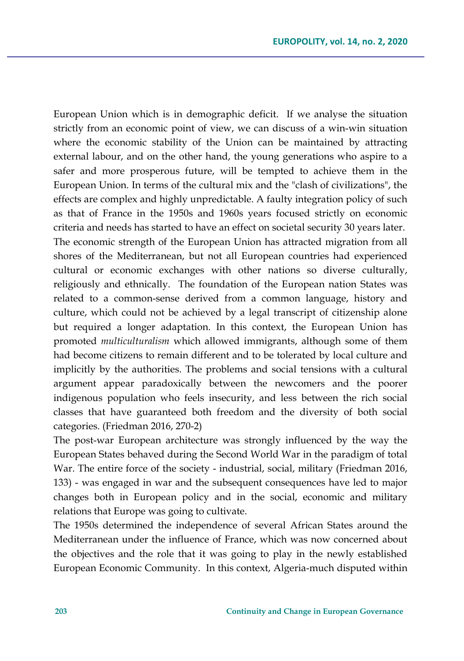European Union which is in demographic deficit. If we analyse the situation strictly from an economic point of view, we can discuss of a win-win situation where the economic stability of the Union can be maintained by attracting external labour, and on the other hand, the young generations who aspire to a safer and more prosperous future, will be tempted to achieve them in the European Union. In terms of the cultural mix and the "clash of civilizations", the effects are complex and highly unpredictable. A faulty integration policy of such as that of France in the 1950s and 1960s years focused strictly on economic criteria and needs has started to have an effect on societal security 30 years later. The economic strength of the European Union has attracted migration from all shores of the Mediterranean, but not all European countries had experienced cultural or economic exchanges with other nations so diverse culturally, religiously and ethnically. The foundation of the European nation States was related to a common-sense derived from a common language, history and culture, which could not be achieved by a legal transcript of citizenship alone but required a longer adaptation. In this context, the European Union has promoted *multiculturalism* which allowed immigrants, although some of them had become citizens to remain different and to be tolerated by local culture and implicitly by the authorities. The problems and social tensions with a cultural argument appear paradoxically between the newcomers and the poorer indigenous population who feels insecurity, and less between the rich social classes that have guaranteed both freedom and the diversity of both social categories. (Friedman 2016, 270-2)

The post-war European architecture was strongly influenced by the way the European States behaved during the Second World War in the paradigm of total War. The entire force of the society - industrial, social, military (Friedman 2016, 133) - was engaged in war and the subsequent consequences have led to major changes both in European policy and in the social, economic and military relations that Europe was going to cultivate.

The 1950s determined the independence of several African States around the Mediterranean under the influence of France, which was now concerned about the objectives and the role that it was going to play in the newly established European Economic Community. In this context, Algeria-much disputed within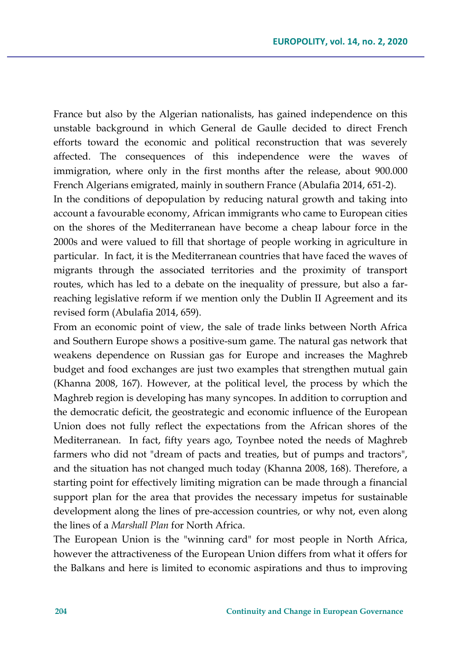France but also by the Algerian nationalists, has gained independence on this unstable background in which General de Gaulle decided to direct French efforts toward the economic and political reconstruction that was severely affected. The consequences of this independence were the waves of immigration, where only in the first months after the release, about 900.000 French Algerians emigrated, mainly in southern France (Abulafia 2014, 651-2).

In the conditions of depopulation by reducing natural growth and taking into account a favourable economy, African immigrants who came to European cities on the shores of the Mediterranean have become a cheap labour force in the 2000s and were valued to fill that shortage of people working in agriculture in particular. In fact, it is the Mediterranean countries that have faced the waves of migrants through the associated territories and the proximity of transport routes, which has led to a debate on the inequality of pressure, but also a farreaching legislative reform if we mention only the Dublin II Agreement and its revised form (Abulafia 2014, 659).

From an economic point of view, the sale of trade links between North Africa and Southern Europe shows a positive-sum game. The natural gas network that weakens dependence on Russian gas for Europe and increases the Maghreb budget and food exchanges are just two examples that strengthen mutual gain (Khanna 2008, 167). However, at the political level, the process by which the Maghreb region is developing has many syncopes. In addition to corruption and the democratic deficit, the geostrategic and economic influence of the European Union does not fully reflect the expectations from the African shores of the Mediterranean. In fact, fifty years ago, Toynbee noted the needs of Maghreb farmers who did not "dream of pacts and treaties, but of pumps and tractors", and the situation has not changed much today (Khanna 2008, 168). Therefore, a starting point for effectively limiting migration can be made through a financial support plan for the area that provides the necessary impetus for sustainable development along the lines of pre-accession countries, or why not, even along the lines of a *Marshall Plan* for North Africa.

The European Union is the "winning card" for most people in North Africa, however the attractiveness of the European Union differs from what it offers for the Balkans and here is limited to economic aspirations and thus to improving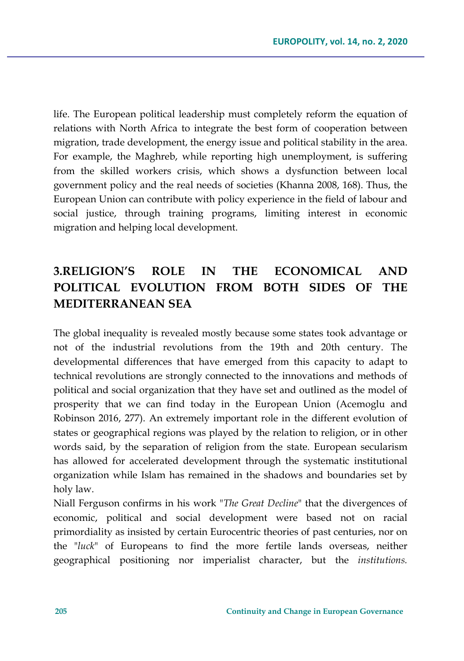life. The European political leadership must completely reform the equation of relations with North Africa to integrate the best form of cooperation between migration, trade development, the energy issue and political stability in the area. For example, the Maghreb, while reporting high unemployment, is suffering from the skilled workers crisis, which shows a dysfunction between local government policy and the real needs of societies (Khanna 2008, 168). Thus, the European Union can contribute with policy experience in the field of labour and social justice, through training programs, limiting interest in economic migration and helping local development.

# **3.RELIGION'S ROLE IN THE ECONOMICAL AND POLITICAL EVOLUTION FROM BOTH SIDES OF THE MEDITERRANEAN SEA**

The global inequality is revealed mostly because some states took advantage or not of the industrial revolutions from the 19th and 20th century. The developmental differences that have emerged from this capacity to adapt to technical revolutions are strongly connected to the innovations and methods of political and social organization that they have set and outlined as the model of prosperity that we can find today in the European Union (Acemoglu and Robinson 2016, 277). An extremely important role in the different evolution of states or geographical regions was played by the relation to religion, or in other words said, by the separation of religion from the state. European secularism has allowed for accelerated development through the systematic institutional organization while Islam has remained in the shadows and boundaries set by holy law.

Niall Ferguson confirms in his work "*The Great Decline*" that the divergences of economic, political and social development were based not on racial primordiality as insisted by certain Eurocentric theories of past centuries, nor on the "*luck*" of Europeans to find the more fertile lands overseas, neither geographical positioning nor imperialist character, but the *institutions.*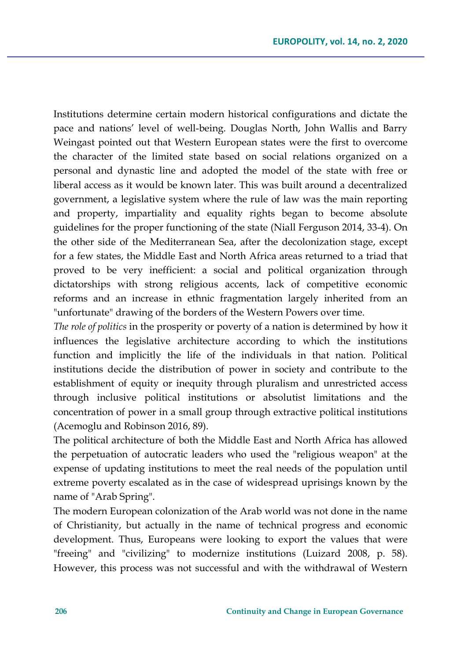Institutions determine certain modern historical configurations and dictate the pace and nations' level of well-being. Douglas North, John Wallis and Barry Weingast pointed out that Western European states were the first to overcome the character of the limited state based on social relations organized on a personal and dynastic line and adopted the model of the state with free or liberal access as it would be known later. This was built around a decentralized government, a legislative system where the rule of law was the main reporting and property, impartiality and equality rights began to become absolute guidelines for the proper functioning of the state (Niall Ferguson 2014, 33-4). On the other side of the Mediterranean Sea, after the decolonization stage, except for a few states, the Middle East and North Africa areas returned to a triad that proved to be very inefficient: a social and political organization through dictatorships with strong religious accents, lack of competitive economic reforms and an increase in ethnic fragmentation largely inherited from an "unfortunate" drawing of the borders of the Western Powers over time.

*The role of politics* in the prosperity or poverty of a nation is determined by how it influences the legislative architecture according to which the institutions function and implicitly the life of the individuals in that nation. Political institutions decide the distribution of power in society and contribute to the establishment of equity or inequity through pluralism and unrestricted access through inclusive political institutions or absolutist limitations and the concentration of power in a small group through extractive political institutions (Acemoglu and Robinson 2016, 89).

The political architecture of both the Middle East and North Africa has allowed the perpetuation of autocratic leaders who used the "religious weapon" at the expense of updating institutions to meet the real needs of the population until extreme poverty escalated as in the case of widespread uprisings known by the name of "Arab Spring".

The modern European colonization of the Arab world was not done in the name of Christianity, but actually in the name of technical progress and economic development. Thus, Europeans were looking to export the values that were "freeing" and "civilizing" to modernize institutions (Luizard 2008, p. 58). However, this process was not successful and with the withdrawal of Western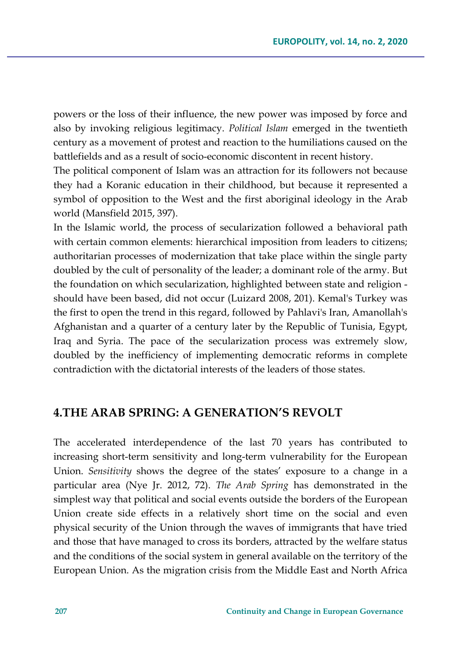powers or the loss of their influence, the new power was imposed by force and also by invoking religious legitimacy. *Political Islam* emerged in the twentieth century as a movement of protest and reaction to the humiliations caused on the battlefields and as a result of socio-economic discontent in recent history.

The political component of Islam was an attraction for its followers not because they had a Koranic education in their childhood, but because it represented a symbol of opposition to the West and the first aboriginal ideology in the Arab world (Mansfield 2015, 397).

In the Islamic world, the process of secularization followed a behavioral path with certain common elements: hierarchical imposition from leaders to citizens; authoritarian processes of modernization that take place within the single party doubled by the cult of personality of the leader; a dominant role of the army. But the foundation on which secularization, highlighted between state and religion should have been based, did not occur (Luizard 2008, 201). Kemal's Turkey was the first to open the trend in this regard, followed by Pahlavi's Iran, Amanollah's Afghanistan and a quarter of a century later by the Republic of Tunisia, Egypt, Iraq and Syria. The pace of the secularization process was extremely slow, doubled by the inefficiency of implementing democratic reforms in complete contradiction with the dictatorial interests of the leaders of those states.

### **4.THE ARAB SPRING: A GENERATION'S REVOLT**

The accelerated interdependence of the last 70 years has contributed to increasing short-term sensitivity and long-term vulnerability for the European Union. *Sensitivity* shows the degree of the states' exposure to a change in a particular area (Nye Jr. 2012, 72). *The Arab Spring* has demonstrated in the simplest way that political and social events outside the borders of the European Union create side effects in a relatively short time on the social and even physical security of the Union through the waves of immigrants that have tried and those that have managed to cross its borders, attracted by the welfare status and the conditions of the social system in general available on the territory of the European Union. As the migration crisis from the Middle East and North Africa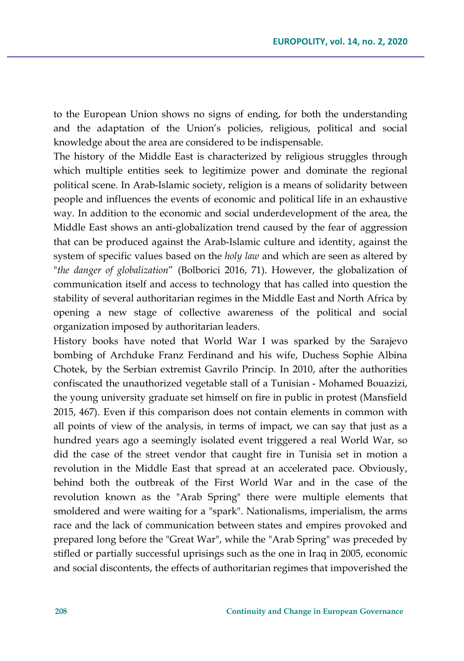to the European Union shows no signs of ending, for both the understanding and the adaptation of the Union's policies, religious, political and social knowledge about the area are considered to be indispensable.

The history of the Middle East is characterized by religious struggles through which multiple entities seek to legitimize power and dominate the regional political scene. In Arab-Islamic society, religion is a means of solidarity between people and influences the events of economic and political life in an exhaustive way. In addition to the economic and social underdevelopment of the area, the Middle East shows an anti-globalization trend caused by the fear of aggression that can be produced against the Arab-Islamic culture and identity, against the system of specific values based on the *holy law* and which are seen as altered by "*the danger of globalization*" (Bolborici 2016, 71). However, the globalization of communication itself and access to technology that has called into question the stability of several authoritarian regimes in the Middle East and North Africa by opening a new stage of collective awareness of the political and social organization imposed by authoritarian leaders.

History books have noted that World War I was sparked by the Sarajevo bombing of Archduke Franz Ferdinand and his wife, Duchess Sophie Albina Chotek, by the Serbian extremist Gavrilo Princip. In 2010, after the authorities confiscated the unauthorized vegetable stall of a Tunisian - Mohamed Bouazizi, the young university graduate set himself on fire in public in protest (Mansfield 2015, 467). Even if this comparison does not contain elements in common with all points of view of the analysis, in terms of impact, we can say that just as a hundred years ago a seemingly isolated event triggered a real World War, so did the case of the street vendor that caught fire in Tunisia set in motion a revolution in the Middle East that spread at an accelerated pace. Obviously, behind both the outbreak of the First World War and in the case of the revolution known as the "Arab Spring" there were multiple elements that smoldered and were waiting for a "spark". Nationalisms, imperialism, the arms race and the lack of communication between states and empires provoked and prepared long before the "Great War", while the "Arab Spring" was preceded by stifled or partially successful uprisings such as the one in Iraq in 2005, economic and social discontents, the effects of authoritarian regimes that impoverished the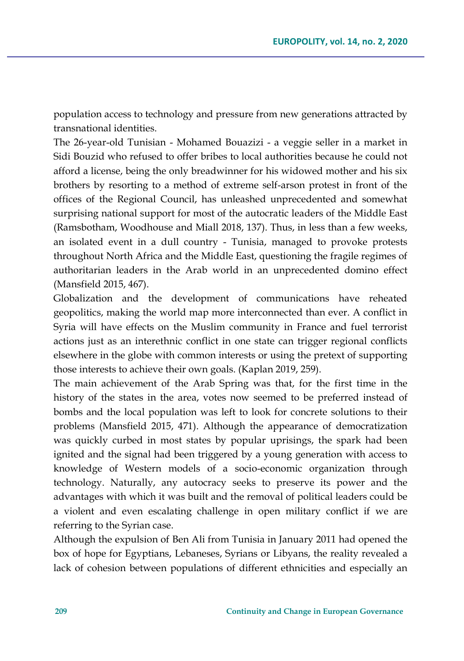population access to technology and pressure from new generations attracted by transnational identities.

The 26-year-old Tunisian - Mohamed Bouazizi - a veggie seller in a market in Sidi Bouzid who refused to offer bribes to local authorities because he could not afford a license, being the only breadwinner for his widowed mother and his six brothers by resorting to a method of extreme self-arson protest in front of the offices of the Regional Council, has unleashed unprecedented and somewhat surprising national support for most of the autocratic leaders of the Middle East (Ramsbotham, Woodhouse and Miall 2018, 137). Thus, in less than a few weeks, an isolated event in a dull country - Tunisia, managed to provoke protests throughout North Africa and the Middle East, questioning the fragile regimes of authoritarian leaders in the Arab world in an unprecedented domino effect (Mansfield 2015, 467).

Globalization and the development of communications have reheated geopolitics, making the world map more interconnected than ever. A conflict in Syria will have effects on the Muslim community in France and fuel terrorist actions just as an interethnic conflict in one state can trigger regional conflicts elsewhere in the globe with common interests or using the pretext of supporting those interests to achieve their own goals. (Kaplan 2019, 259).

The main achievement of the Arab Spring was that, for the first time in the history of the states in the area, votes now seemed to be preferred instead of bombs and the local population was left to look for concrete solutions to their problems (Mansfield 2015, 471). Although the appearance of democratization was quickly curbed in most states by popular uprisings, the spark had been ignited and the signal had been triggered by a young generation with access to knowledge of Western models of a socio-economic organization through technology. Naturally, any autocracy seeks to preserve its power and the advantages with which it was built and the removal of political leaders could be a violent and even escalating challenge in open military conflict if we are referring to the Syrian case.

Although the expulsion of Ben Ali from Tunisia in January 2011 had opened the box of hope for Egyptians, Lebaneses, Syrians or Libyans, the reality revealed a lack of cohesion between populations of different ethnicities and especially an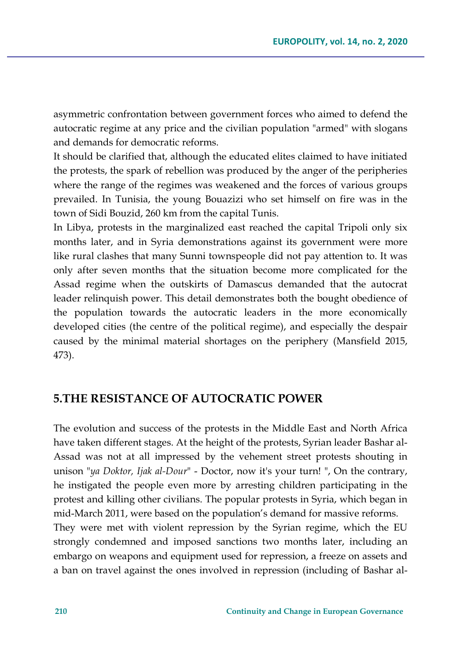asymmetric confrontation between government forces who aimed to defend the autocratic regime at any price and the civilian population "armed" with slogans and demands for democratic reforms.

It should be clarified that, although the educated elites claimed to have initiated the protests, the spark of rebellion was produced by the anger of the peripheries where the range of the regimes was weakened and the forces of various groups prevailed. In Tunisia, the young Bouazizi who set himself on fire was in the town of Sidi Bouzid, 260 km from the capital Tunis.

In Libya, protests in the marginalized east reached the capital Tripoli only six months later, and in Syria demonstrations against its government were more like rural clashes that many Sunni townspeople did not pay attention to. It was only after seven months that the situation become more complicated for the Assad regime when the outskirts of Damascus demanded that the autocrat leader relinquish power. This detail demonstrates both the bought obedience of the population towards the autocratic leaders in the more economically developed cities (the centre of the political regime), and especially the despair caused by the minimal material shortages on the periphery (Mansfield 2015, 473).

### **5.THE RESISTANCE OF AUTOCRATIC POWER**

The evolution and success of the protests in the Middle East and North Africa have taken different stages. At the height of the protests, Syrian leader Bashar al-Assad was not at all impressed by the vehement street protests shouting in unison "*ya Doktor, Ijak al-Dour*" - Doctor, now it's your turn! ", On the contrary, he instigated the people even more by arresting children participating in the protest and killing other civilians. The popular protests in Syria, which began in mid-March 2011, were based on the population's demand for massive reforms. They were met with violent repression by the Syrian regime, which the EU strongly condemned and imposed sanctions two months later, including an embargo on weapons and equipment used for repression, a freeze on assets and a ban on travel against the ones involved in repression (including of Bashar al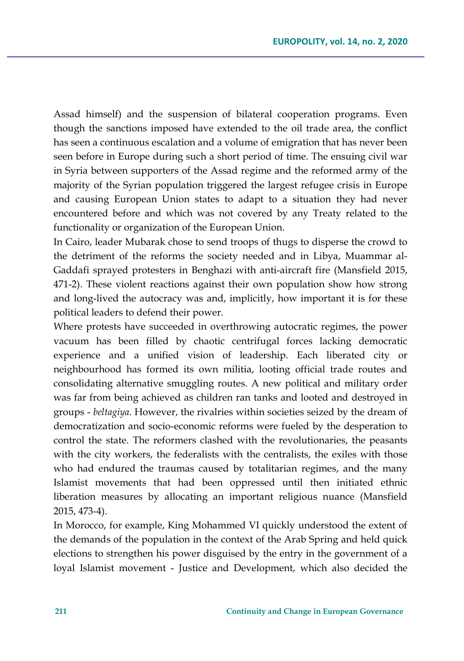Assad himself) and the suspension of bilateral cooperation programs. Even though the sanctions imposed have extended to the oil trade area, the conflict has seen a continuous escalation and a volume of emigration that has never been seen before in Europe during such a short period of time. The ensuing civil war in Syria between supporters of the Assad regime and the reformed army of the majority of the Syrian population triggered the largest refugee crisis in Europe and causing European Union states to adapt to a situation they had never encountered before and which was not covered by any Treaty related to the functionality or organization of the European Union.

In Cairo, leader Mubarak chose to send troops of thugs to disperse the crowd to the detriment of the reforms the society needed and in Libya, Muammar al-Gaddafi sprayed protesters in Benghazi with anti-aircraft fire (Mansfield 2015, 471-2). These violent reactions against their own population show how strong and long-lived the autocracy was and, implicitly, how important it is for these political leaders to defend their power.

Where protests have succeeded in overthrowing autocratic regimes, the power vacuum has been filled by chaotic centrifugal forces lacking democratic experience and a unified vision of leadership. Each liberated city or neighbourhood has formed its own militia, looting official trade routes and consolidating alternative smuggling routes. A new political and military order was far from being achieved as children ran tanks and looted and destroyed in groups - *beltagiya*. However, the rivalries within societies seized by the dream of democratization and socio-economic reforms were fueled by the desperation to control the state. The reformers clashed with the revolutionaries, the peasants with the city workers, the federalists with the centralists, the exiles with those who had endured the traumas caused by totalitarian regimes, and the many Islamist movements that had been oppressed until then initiated ethnic liberation measures by allocating an important religious nuance (Mansfield 2015, 473-4).

In Morocco, for example, King Mohammed VI quickly understood the extent of the demands of the population in the context of the Arab Spring and held quick elections to strengthen his power disguised by the entry in the government of a loyal Islamist movement - Justice and Development, which also decided the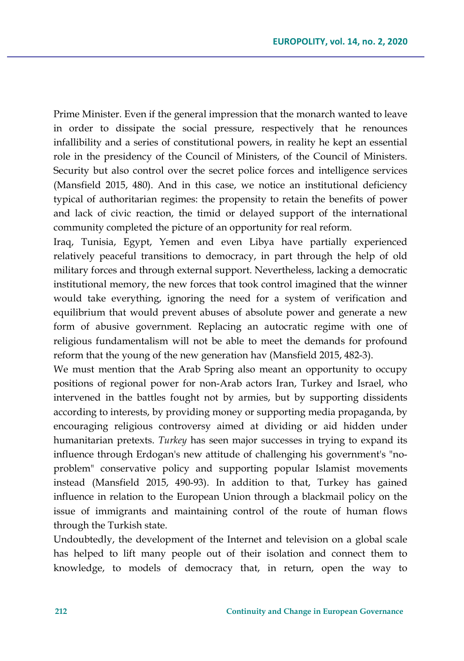Prime Minister. Even if the general impression that the monarch wanted to leave in order to dissipate the social pressure, respectively that he renounces infallibility and a series of constitutional powers, in reality he kept an essential role in the presidency of the Council of Ministers, of the Council of Ministers. Security but also control over the secret police forces and intelligence services (Mansfield 2015, 480). And in this case, we notice an institutional deficiency typical of authoritarian regimes: the propensity to retain the benefits of power and lack of civic reaction, the timid or delayed support of the international community completed the picture of an opportunity for real reform.

Iraq, Tunisia, Egypt, Yemen and even Libya have partially experienced relatively peaceful transitions to democracy, in part through the help of old military forces and through external support. Nevertheless, lacking a democratic institutional memory, the new forces that took control imagined that the winner would take everything, ignoring the need for a system of verification and equilibrium that would prevent abuses of absolute power and generate a new form of abusive government. Replacing an autocratic regime with one of religious fundamentalism will not be able to meet the demands for profound reform that the young of the new generation hav (Mansfield 2015, 482-3).

We must mention that the Arab Spring also meant an opportunity to occupy positions of regional power for non-Arab actors Iran, Turkey and Israel, who intervened in the battles fought not by armies, but by supporting dissidents according to interests, by providing money or supporting media propaganda, by encouraging religious controversy aimed at dividing or aid hidden under humanitarian pretexts. *Turkey* has seen major successes in trying to expand its influence through Erdogan's new attitude of challenging his government's "noproblem" conservative policy and supporting popular Islamist movements instead (Mansfield 2015, 490-93). In addition to that, Turkey has gained influence in relation to the European Union through a blackmail policy on the issue of immigrants and maintaining control of the route of human flows through the Turkish state.

Undoubtedly, the development of the Internet and television on a global scale has helped to lift many people out of their isolation and connect them to knowledge, to models of democracy that, in return, open the way to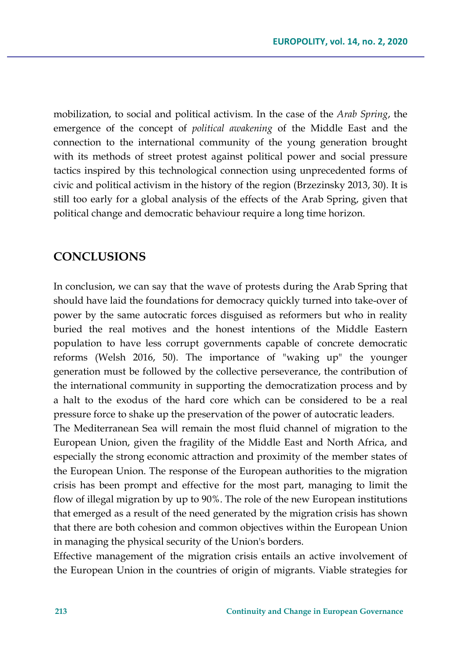mobilization, to social and political activism. In the case of the *Arab Spring*, the emergence of the concept of *political awakening* of the Middle East and the connection to the international community of the young generation brought with its methods of street protest against political power and social pressure tactics inspired by this technological connection using unprecedented forms of civic and political activism in the history of the region (Brzezinsky 2013, 30). It is still too early for a global analysis of the effects of the Arab Spring, given that political change and democratic behaviour require a long time horizon.

#### **CONCLUSIONS**

In conclusion, we can say that the wave of protests during the Arab Spring that should have laid the foundations for democracy quickly turned into take-over of power by the same autocratic forces disguised as reformers but who in reality buried the real motives and the honest intentions of the Middle Eastern population to have less corrupt governments capable of concrete democratic reforms (Welsh 2016, 50). The importance of "waking up" the younger generation must be followed by the collective perseverance, the contribution of the international community in supporting the democratization process and by a halt to the exodus of the hard core which can be considered to be a real pressure force to shake up the preservation of the power of autocratic leaders.

The Mediterranean Sea will remain the most fluid channel of migration to the European Union, given the fragility of the Middle East and North Africa, and especially the strong economic attraction and proximity of the member states of the European Union. The response of the European authorities to the migration crisis has been prompt and effective for the most part, managing to limit the flow of illegal migration by up to 90%. The role of the new European institutions that emerged as a result of the need generated by the migration crisis has shown that there are both cohesion and common objectives within the European Union in managing the physical security of the Union's borders.

Effective management of the migration crisis entails an active involvement of the European Union in the countries of origin of migrants. Viable strategies for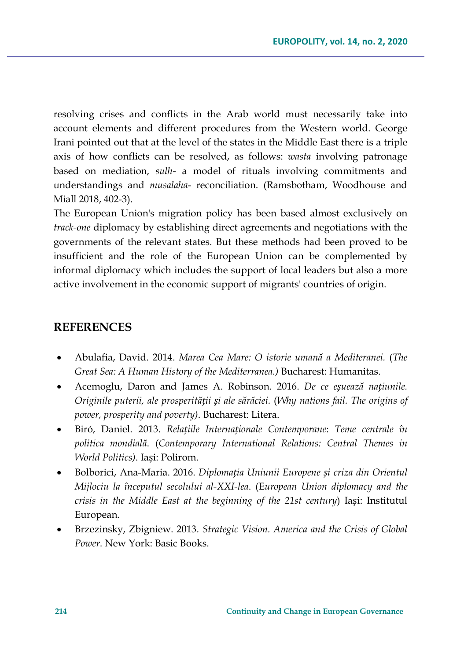resolving crises and conflicts in the Arab world must necessarily take into account elements and different procedures from the Western world. George Irani pointed out that at the level of the states in the Middle East there is a triple axis of how conflicts can be resolved, as follows: *wasta* involving patronage based on mediation, *sulh*- a model of rituals involving commitments and understandings and *musalaha*- reconciliation. (Ramsbotham, Woodhouse and Miall 2018, 402-3).

The European Union's migration policy has been based almost exclusively on *track-one* diplomacy by establishing direct agreements and negotiations with the governments of the relevant states. But these methods had been proved to be insufficient and the role of the European Union can be complemented by informal diplomacy which includes the support of local leaders but also a more active involvement in the economic support of migrants' countries of origin.

### **REFERENCES**

- Abulafia, David. 2014. *Marea Cea Mare: O istorie umană a Mediteranei.* (*The Great Sea: A Human History of the Mediterranea.)* Bucharest: Humanitas.
- Acemoglu, Daron and James A. Robinson. 2016. *De ce eșuează națiunile. Originile puterii, ale prosperității și ale sărăciei.* (*Why nations fail. The origins of power, prosperity and poverty)*. Bucharest: Litera.
- Biró, Daniel. 2013. *Relațiile Internaționale Contemporane*: *Teme centrale în politica mondială*. (*Contemporary International Relations: Central Themes in World Politics)*. Iași: Polirom.
- Bolborici, Ana-Maria. 2016. *Diplomația Uniunii Europene și criza din Orientul Mijlociu la începutul secolului al-XXI-lea*. (E*uropean Union diplomacy and the crisis in the Middle East at the beginning of the 21st century*) Iași: Institutul European.
- Brzezinsky, Zbigniew. 2013. *Strategic Vision. America and the Crisis of Global Power*. New York: Basic Books.